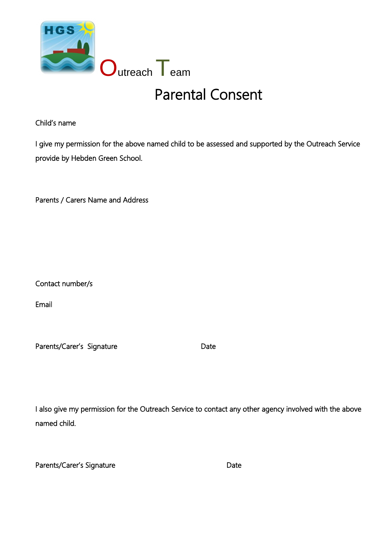

## Parental Consent

Child's name

I give my permission for the above named child to be assessed and supported by the Outreach Service provide by Hebden Green School.

Parents / Carers Name and Address

Contact number/s

Email

Parents/Carer's Signature **Date** Date

I also give my permission for the Outreach Service to contact any other agency involved with the above named child.

| Parents/Carer's Signature | Date |
|---------------------------|------|
|                           |      |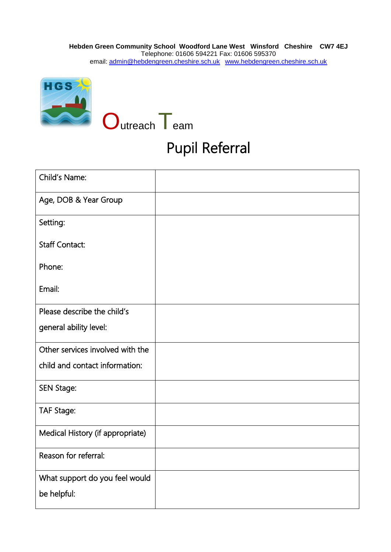

## Pupil Referral

| Child's Name:                    |  |
|----------------------------------|--|
| Age, DOB & Year Group            |  |
| Setting:                         |  |
| <b>Staff Contact:</b>            |  |
| Phone:                           |  |
| Email:                           |  |
| Please describe the child's      |  |
| general ability level:           |  |
| Other services involved with the |  |
| child and contact information:   |  |
| <b>SEN Stage:</b>                |  |
| <b>TAF Stage:</b>                |  |
| Medical History (if appropriate) |  |
| Reason for referral:             |  |
| What support do you feel would   |  |
| be helpful:                      |  |